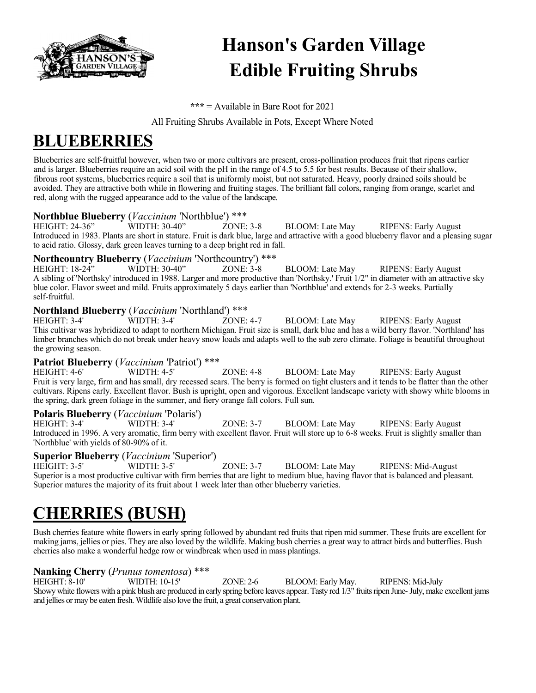

# **Hanson's Garden Village Edible Fruiting Shrubs**

**\*\*\*** = Available in Bare Root for 2021

All Fruiting Shrubs Available in Pots, Except Where Noted

### **BLUEBERRIES**

Blueberries are self-fruitful however, when two or more cultivars are present, cross-pollination produces fruit that ripens earlier and is larger. Blueberries require an acid soil with the pH in the range of 4.5 to 5.5 for best results. Because of their shallow, fibrous root systems, blueberries require a soil that is uniformly moist, but not saturated. Heavy, poorly drained soils should be avoided. They are attractive both while in flowering and fruiting stages. The brilliant fall colors, ranging from orange, scarlet and red, along with the rugged appearance add to the value of the landscape.

#### **Northblue Blueberry** (*Vaccinium* 'Northblue') \*\*\*

HEIGHT: 24-36" WIDTH: 30-40" ZONE: 3-8 BLOOM: Late May RIPENS: Early August Introduced in 1983. Plants are short in stature. Fruit is dark blue, large and attractive with a good blueberry flavor and a pleasing sugar to acid ratio. Glossy, dark green leaves turning to a deep bright red in fall.

### **Northcountry Blueberry** *(Vaccinium* 'Northcountry') \*\*\*<br>HEIGHT: 18-24" WIDTH: 30-40" ZONE: 3-8

ZONE:  $3-8$  BLOOM: Late May RIPENS: Early August A sibling of 'Northsky' introduced in 1988. Larger and more productive than 'Northsky.' Fruit 1/2" in diameter with an attractive sky blue color. Flavor sweet and mild. Fruits approximately 5 days earlier than 'Northblue' and extends for 2-3 weeks. Partially self-fruitful.

#### **Northland Blueberry** (*Vaccinium* 'Northland') \*\*\*

HEIGHT: 3-4' WIDTH: 3-4' ZONE: 4-7 BLOOM: Late May RIPENS: Early August This cultivar was hybridized to adapt to northern Michigan. Fruit size is small, dark blue and has a wild berry flavor. 'Northland' has limber branches which do not break under heavy snow loads and adapts well to the sub zero climate. Foliage is beautiful throughout the growing season.

### **Patriot Blueberry** (*Vaccinium* 'Patriot') \*\*\*<br>HEIGHT: 4-6' WIDTH: 4-5' ZONE: 4-8

HEIGHT: 4-6' WIDTH: 4-5' ZONE: 4-8 BLOOM: Late May RIPENS: Early August Fruit is very large, firm and has small, dry recessed scars. The berry is formed on tight clusters and it tends to be flatter than the other cultivars. Ripens early. Excellent flavor. Bush is upright, open and vigorous. Excellent landscape variety with showy white blooms in the spring, dark green foliage in the summer, and fiery orange fall colors. Full sun.

### **Polaris Blueberry** (*Vaccinium* 'Polaris')

ZONE: 3-7 BLOOM: Late May RIPENS: Early August Introduced in 1996. A very aromatic, firm berry with excellent flavor. Fruit will store up to 6-8 weeks. Fruit is slightly smaller than 'Northblue' with yields of 80-90% of it.

### **Superior Blueberry** (*Vaccinium* 'Superior')

HEIGHT: 3-5' WIDTH: 3-5' ZONE: 3-7 BLOOM: Late May RIPENS: Mid-August Superior is a most productive cultivar with firm berries that are light to medium blue, having flavor that is balanced and pleasant. Superior matures the majority of its fruit about 1 week later than other blueberry varieties.

### **CHERRIES (BUSH)**

Bush cherries feature white flowers in early spring followed by abundant red fruits that ripen mid summer. These fruits are excellent for making jams, jellies or pies. They are also loved by the wildlife. Making bush cherries a great way to attract birds and butterflies. Bush cherries also make a wonderful hedge row or windbreak when used in mass plantings.

### **Nanking Cherry** (*Prunus tomentosa*) \*\*\*

HEIGHT: 8-10' WIDTH: 10-15' ZONE: 2-6 BLOOM: Early May. RIPENS: Mid-July Showy white flowers with a pink blush are produced in early spring before leaves appear. Tasty red 1/3" fruits ripen June-July, make excellent jams and jellies or may be eaten fresh. Wildlife also love the fruit, a great conservation plant.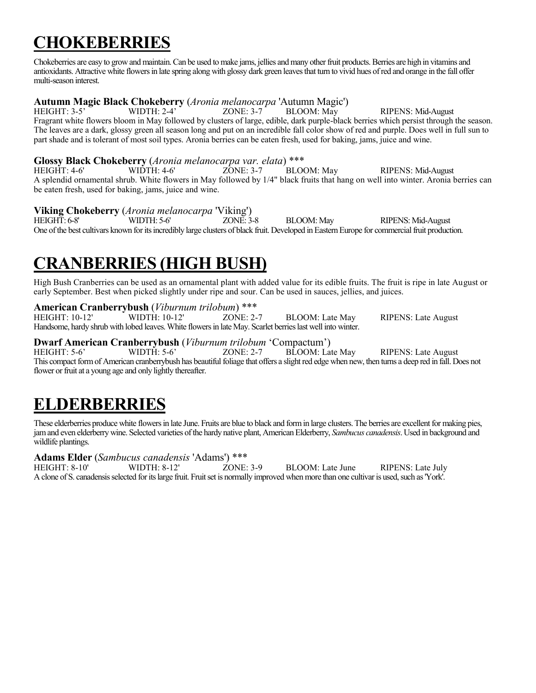# **CHOKEBERRIES**

Chokeberries are easy to grow and maintain. Can be used to make jams, jellies and many other fruit products. Berries are high in vitamins and antioxidants. Attractive white flowers in late spring along with glossy dark green leaves that turn to vivid hues of red and orange in the fall offer multi-season interest.

### **Autumn Magic Black Chokeberry** (*Aronia melanocarpa* 'Autumn Magic')

HEIGHT: 3-5' WIDTH: 2-4' ZONE: 3-7 BLOOM: May RIPENS: Mid-August Fragrant white flowers bloom in May followed by clusters of large, edible, dark purple-black berries which persist through the season. The leaves are a dark, glossy green all season long and put on an incredible fall color show of red and purple. Does well in full sun to part shade and is tolerant of most soil types. Aronia berries can be eaten fresh, used for baking, jams, juice and wine.

#### **Glossy Black Chokeberry** (*Aronia melanocarpa var. elata*) \*\*\*

HEIGHT: 4-6' WIDTH: 4-6' ZONE: 3-7 BLOOM: May RIPENS: Mid-August A splendid ornamental shrub. White flowers in May followed by 1/4" black fruits that hang on well into winter. Aronia berries can be eaten fresh, used for baking, jams, juice and wine.

### **Viking Chokeberry** (*Aronia melanocarpa* 'Viking')

HEIGHT: 6-8' WIDTH: 5-6' ZONE: 3-8 BLOOM: May RIPENS: Mid-August One of the best cultivars known for its incredibly large clusters of black fruit. Developed in Eastern Europe for commercial fruit production.

### **CRANBERRIES (HIGH BUSH)**

High Bush Cranberries can be used as an ornamental plant with added value for its edible fruits. The fruit is ripe in late August or early September. Best when picked slightly under ripe and sour. Can be used in sauces, jellies, and juices.

### **American Cranberrybush** (*Viburnum trilobum*) \*\*\*

ZONE: 2-7 BLOOM: Late May RIPENS: Late August Handsome, hardy shrub with lobed leaves. White flowers in late May. Scarlet berries last well into winter.

### **Dwarf American Cranberrybush** (*Viburnum trilobum* 'Compactum')

RIPENS: Late August This compact form of American cranberrybush has beautiful foliage that offers a slight red edge when new, then turns a deep red in fall. Does not flower or fruit at a young age and only lightly thereafter.

# **ELDERBERRIES**

These elderberries produce white flowers in late June. Fruits are blue to black and form in large clusters. The berries are excellent for making pies, jam and even elderberry wine. Selected varieties of the hardy native plant, American Elderberry, *Sambucus canadensis*. Used in background and wildlife plantings.

### **Adams Elder** (*Sambucus canadensis* 'Adams') \*\*\*

HEIGHT: 8-10' WIDTH: 8-12' ZONE: 3-9 BLOOM: Late June RIPENS: Late July A clone of S. canadensis selected for its large fruit. Fruit set is normally improved when more than one cultivar is used, such as 'York'.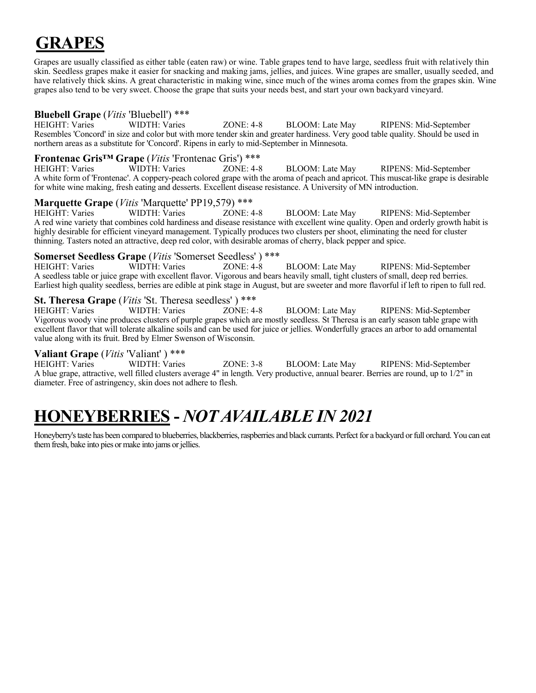# <sup>j</sup>**GRAPES**

Grapes are usually classified as either table (eaten raw) or wine. Table grapes tend to have large, seedless fruit with relatively thin skin. Seedless grapes make it easier for snacking and making jams, jellies, and juices. Wine grapes are smaller, usually seeded, and have relatively thick skins. A great characteristic in making wine, since much of the wines aroma comes from the grapes skin. Wine grapes also tend to be very sweet. Choose the grape that suits your needs best, and start your own backyard vineyard.

#### **Bluebell Grape** (*Vitis* 'Bluebell') \*\*\*

HEIGHT: Varies WIDTH: Varies ZONE: 4-8 BLOOM: Late May RIPENS: Mid-September Resembles 'Concord' in size and color but with more tender skin and greater hardiness. Very good table quality. Should be used in northern areas as a substitute for 'Concord'. Ripens in early to mid-September in Minnesota.

#### **Frontenac Gris™ Grape** (*Vitis* 'Frontenac Gris') \*\*\*

HEIGHT: Varies WIDTH: Varies ZONE: 4-8 BLOOM: Late May RIPENS: Mid-September A white form of 'Frontenac'. A coppery-peach colored grape with the aroma of peach and apricot. This muscat-like grape is desirable for white wine making, fresh eating and desserts. Excellent disease resistance. A University of MN introduction.

#### **Marquette Grape** (*Vitis* 'Marquette' PP19,579) \*\*\*

HEIGHT: Varies WIDTH: Varies ZONE: 4-8 BLOOM: Late May RIPENS: Mid-September A red wine variety that combines cold hardiness and disease resistance with excellent wine quality. Open and orderly growth habit is highly desirable for efficient vineyard management. Typically produces two clusters per shoot, eliminating the need for cluster thinning. Tasters noted an attractive, deep red color, with desirable aromas of cherry, black pepper and spice.

#### **Somerset Seedless Grape** (*Vitis* 'Somerset Seedless' ) \*\*\*

HEIGHT: Varies WIDTH: Varies ZONE: 4-8 BLOOM: Late May RIPENS: Mid-September A seedless table or juice grape with excellent flavor. Vigorous and bears heavily small, tight clusters of small, deep red berries. Earliest high quality seedless, berries are edible at pink stage in August, but are sweeter and more flavorful if left to ripen to full red.

#### **St. Theresa Grape** (*Vitis* 'St. Theresa seedless' ) \*\*\*

HEIGHT: Varies WIDTH: Varies ZONE: 4-8 BLOOM: Late May RIPENS: Mid-September Vigorous woody vine produces clusters of purple grapes which are mostly seedless. St Theresa is an early season table grape with excellent flavor that will tolerate alkaline soils and can be used for juice or jellies. Wonderfully graces an arbor to add ornamental value along with its fruit. Bred by Elmer Swenson of Wisconsin.

#### **Valiant Grape** (*Vitis* 'Valiant' ) \*\*\*

HEIGHT: Varies WIDTH: Varies ZONE: 3-8 BLOOM: Late May RIPENS: Mid-September A blue grape, attractive, well filled clusters average 4" in length. Very productive, annual bearer. Berries are round, up to 1/2" in diameter. Free of astringency, skin does not adhere to flesh.

### **HONEYBERRIES -** *NOT AVAILABLE IN 2021*

Honeyberry's taste has been compared to blueberries, blackberries, raspberries and black currants. Perfect for a backyard or full orchard. You can eat them fresh, bake into pies or make into jams or jellies.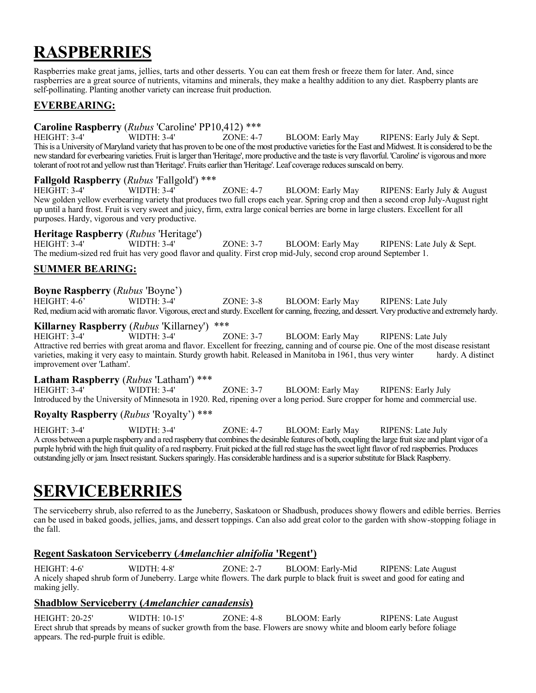## **RASPBERRIES**

Raspberries make great jams, jellies, tarts and other desserts. You can eat them fresh or freeze them for later. And, since raspberries are a great source of nutrients, vitamins and minerals, they make a healthy addition to any diet. Raspberry plants are self-pollinating. Planting another variety can increase fruit production.

#### **EVERBEARING:**

#### **Caroline Raspberry** (*Rubus* 'Caroline' PP10,412) \*\*\*

HEIGHT: 3-4' WIDTH: 3-4' ZONE: 4-7 BLOOM: Early May RIPENS: Early July & Sept. This is a University of Maryland variety that has proven to be one of the most productive varieties for the East and Midwest.It is considered to be the new standard for everbearing varieties. Fruit is larger than 'Heritage', more productive and the taste is very flavorful. 'Caroline' is vigorous and more tolerant of root rot and yellow rust than 'Heritage'. Fruits earlier than 'Heritage'. Leaf coverage reduces sunscald on berry.

#### **Fallgold Raspberry** (*Rubus* 'Fallgold') \*\*\*

HEIGHT: 3-4' WIDTH: 3-4' ZONE: 4-7 BLOOM: Early May RIPENS: Early July & August New golden yellow everbearing variety that produces two full crops each year. Spring crop and then a second crop July-August right up until a hard frost. Fruit is very sweet and juicy, firm, extra large conical berries are borne in large clusters. Excellent for all purposes. Hardy, vigorous and very productive.

#### **Heritage Raspberry** (*Rubus* 'Heritage')

HEIGHT: 3-4' WIDTH: 3-4' ZONE: 3-7 BLOOM: Early May RIPENS: Late July & Sept. The medium-sized red fruit has very good flavor and quality. First crop mid-July, second crop around September 1.

#### **SUMMER BEARING:**

#### **Boyne Raspberry** (*Rubus* 'Boyne')

HEIGHT: 4-6' WIDTH: 3-4' ZONE: 3-8 BLOOM: Early May RIPENS: Late July Red, medium acid with aromatic flavor. Vigorous, erect and sturdy. Excellent for canning, freezing, and dessert. Very productive and extremely hardy.

**Killarney Raspberry** (*Rubus* 'Killarney') \*\*\*<br>HEIGHT: 3-4' WIDTH: 3-4' ZONE: 3-7 BLOOM: Early May RIPENS: Late July Attractive red berries with great aroma and flavor. Excellent for freezing, canning and of course pie. One of the most disease resistant varieties, making it very easy to maintain. Sturdy growth habit. Released in Manitoba in 1961, thus very winter hardy. A distinct improvement over 'Latham'.

#### **Latham Raspberry** (*Rubus* 'Latham') \*\*\*

HEIGHT: 3-4' WIDTH: 3-4' ZONE: 3-7 BLOOM: Early May RIPENS: Early July Introduced by the University of Minnesota in 1920. Red, ripening over a long period. Sure cropper for home and commercial use.

#### **Royalty Raspberry** (*Rubus* 'Royalty') \*\*\*

HEIGHT: 3-4' WIDTH: 3-4' ZONE: 4-7 BLOOM: Early May RIPENS: Late July A cross between a purple raspberry and a red raspberry that combines the desirable features of both, coupling the large fruitsize and plant vigor of a purple hybrid with the high fruit quality of a red raspberry. Fruit picked at the full red stage has the sweet light flavor of red raspberries. Produces outstanding jelly or jam. Insect resistant. Suckers sparingly. Has considerable hardiness and is a superior substitute for BlackRaspberry.

### **SERVICEBERRIES**

The serviceberry shrub, also referred to as the Juneberry, Saskatoon or Shadbush, produces showy flowers and edible berries. Berries can be used in baked goods, jellies, jams, and dessert toppings. Can also add great color to the garden with show-stopping foliage in the fall.

#### **Regent Saskatoon Serviceberry (***Amelanchier alnifolia* **'Regent')**

HEIGHT: 4-6' WIDTH: 4-8' ZONE: 2-7 BLOOM: Early-Mid RIPENS: Late August A nicely shaped shrub form of Juneberry. Large white flowers. The dark purple to black fruit is sweet and good for eating and making jelly.

#### **Shadblow Serviceberry (***Amelanchier canadensis***)**

HEIGHT: 20-25' WIDTH: 10-15' ZONE: 4-8 BLOOM: Early RIPENS: Late August Erect shrub that spreads by means of sucker growth from the base. Flowers are snowy white and bloom early before foliage appears. The red-purple fruit is edible.